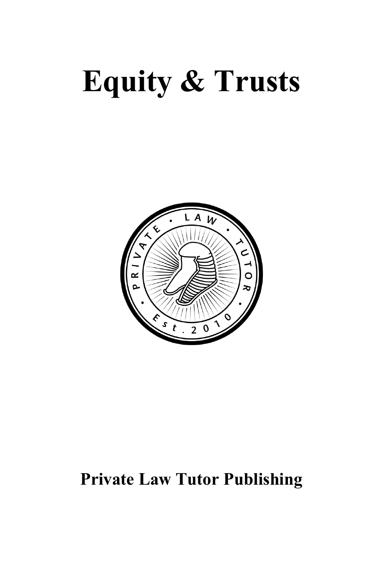# **Equity & Trusts**



## **Private Law Tutor Publishing**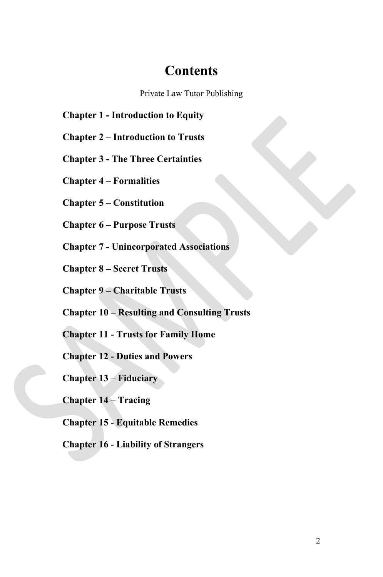#### **Contents**

Private Law Tutor Publishing

**Chapter 1 - Introduction to Equity**

**Chapter 2 – Introduction to Trusts**

**Chapter 3 - The Three Certainties**

**Chapter 4 – Formalities**

**Chapter 5 – Constitution**

**Chapter 6 – Purpose Trusts**

**Chapter 7 - Unincorporated Associations**

**Chapter 8 – Secret Trusts**

**Chapter 9 – Charitable Trusts**

**Chapter 10 – Resulting and Consulting Trusts**

**Chapter 11 - Trusts for Family Home**

**Chapter 12 - Duties and Powers**

**Chapter 13 – Fiduciary**

**Chapter 14 – Tracing**

**Chapter 15 - Equitable Remedies**

**Chapter 16 - Liability of Strangers**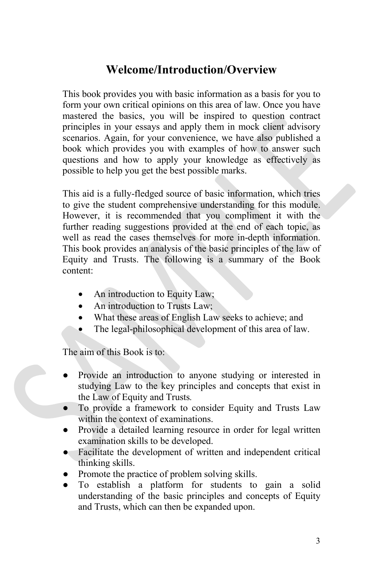### **Welcome/Introduction/Overview**

This book provides you with basic information as a basis for you to form your own critical opinions on this area of law. Once you have mastered the basics, you will be inspired to question contract principles in your essays and apply them in mock client advisory scenarios. Again, for your convenience, we have also published a book which provides you with examples of how to answer such questions and how to apply your knowledge as effectively as possible to help you get the best possible marks.

This aid is a fully-fledged source of basic information, which tries to give the student comprehensive understanding for this module. However, it is recommended that you compliment it with the further reading suggestions provided at the end of each topic, as well as read the cases themselves for more in-depth information. This book provides an analysis of the basic principles of the law of Equity and Trusts. The following is a summary of the Book content:

- An introduction to Equity Law;
- An introduction to Trusts Law;
- What these areas of English Law seeks to achieve; and
- The legal-philosophical development of this area of law.

The aim of this Book is to:

- Provide an introduction to anyone studying or interested in studying Law to the key principles and concepts that exist in the Law of Equity and Trusts*.*
- To provide a framework to consider Equity and Trusts Law within the context of examinations.
- Provide a detailed learning resource in order for legal written examination skills to be developed.
- Facilitate the development of written and independent critical thinking skills.
- Promote the practice of problem solving skills.
- To establish a platform for students to gain a solid understanding of the basic principles and concepts of Equity and Trusts, which can then be expanded upon.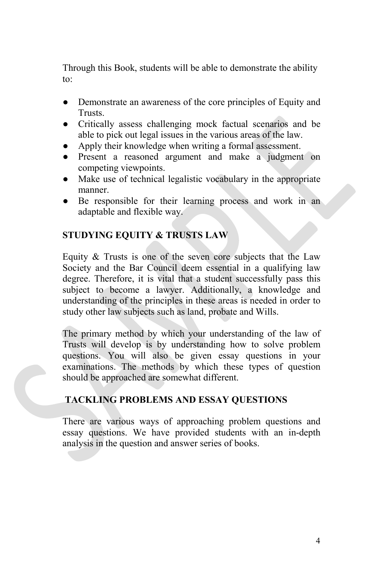Through this Book, students will be able to demonstrate the ability to:

- Demonstrate an awareness of the core principles of Equity and Trusts.
- Critically assess challenging mock factual scenarios and be able to pick out legal issues in the various areas of the law.
- Apply their knowledge when writing a formal assessment.
- Present a reasoned argument and make a judgment on competing viewpoints.
- Make use of technical legalistic vocabulary in the appropriate manner.
- Be responsible for their learning process and work in an adaptable and flexible way.

#### **STUDYING EQUITY & TRUSTS LAW**

Equity & Trusts is one of the seven core subjects that the Law Society and the Bar Council deem essential in a qualifying law degree. Therefore, it is vital that a student successfully pass this subject to become a lawyer. Additionally, a knowledge and understanding of the principles in these areas is needed in order to study other law subjects such as land, probate and Wills.

The primary method by which your understanding of the law of Trusts will develop is by understanding how to solve problem questions. You will also be given essay questions in your examinations. The methods by which these types of question should be approached are somewhat different.

#### **TACKLING PROBLEMS AND ESSAY QUESTIONS**

There are various ways of approaching problem questions and essay questions. We have provided students with an in-depth analysis in the question and answer series of books.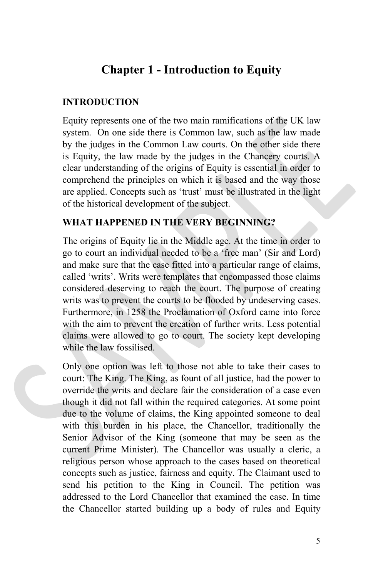#### **Chapter 1 - Introduction to Equity**

#### **INTRODUCTION**

Equity represents one of the two main ramifications of the UK law system. On one side there is Common law, such as the law made by the judges in the Common Law courts. On the other side there is Equity, the law made by the judges in the Chancery courts. A clear understanding of the origins of Equity is essential in order to comprehend the principles on which it is based and the way those are applied. Concepts such as 'trust' must be illustrated in the light of the historical development of the subject.

#### **WHAT HAPPENED IN THE VERY BEGINNING?**

The origins of Equity lie in the Middle age. At the time in order to go to court an individual needed to be a 'free man' (Sir and Lord) and make sure that the case fitted into a particular range of claims, called 'writs'. Writs were templates that encompassed those claims considered deserving to reach the court. The purpose of creating writs was to prevent the courts to be flooded by undeserving cases. Furthermore, in 1258 the Proclamation of Oxford came into force with the aim to prevent the creation of further writs. Less potential claims were allowed to go to court. The society kept developing while the law fossilised.

Only one option was left to those not able to take their cases to court: The King. The King, as fount of all justice, had the power to override the writs and declare fair the consideration of a case even though it did not fall within the required categories. At some point due to the volume of claims, the King appointed someone to deal with this burden in his place, the Chancellor, traditionally the Senior Advisor of the King (someone that may be seen as the current Prime Minister). The Chancellor was usually a cleric, a religious person whose approach to the cases based on theoretical concepts such as justice, fairness and equity. The Claimant used to send his petition to the King in Council. The petition was addressed to the Lord Chancellor that examined the case. In time the Chancellor started building up a body of rules and Equity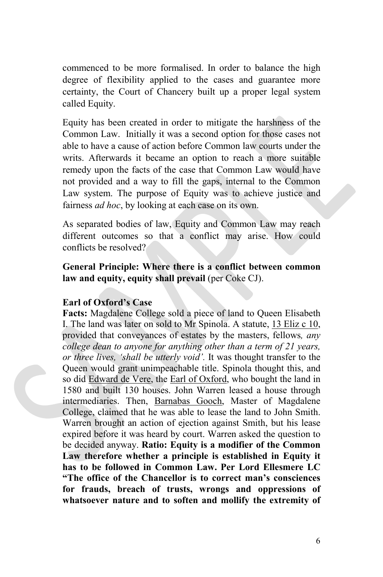commenced to be more formalised. In order to balance the high degree of flexibility applied to the cases and guarantee more certainty, the Court of Chancery built up a proper legal system called Equity.

Equity has been created in order to mitigate the harshness of the Common Law. Initially it was a second option for those cases not able to have a cause of action before Common law courts under the writs. Afterwards it became an option to reach a more suitable remedy upon the facts of the case that Common Law would have not provided and a way to fill the gaps, internal to the Common Law system. The purpose of Equity was to achieve justice and fairness *ad hoc*, by looking at each case on its own.

As separated bodies of law, Equity and Common Law may reach different outcomes so that a conflict may arise. How could conflicts be resolved?

**General Principle: Where there is a conflict between common law and equity, equity shall prevail** (per Coke CJ).

#### **Earl of Oxford's Case**

**Facts:** Magdalene College sold a piece of land to Queen Elisabeth I. The land was later on sold to Mr Spinola. A statute, 13 Eliz c 10, provided that conveyances of estates by the masters, fellows*, any college dean to anyone for anything other than a term of 21 years, or three lives, 'shall be utterly void'.* It was thought transfer to the Queen would grant unimpeachable title. Spinola thought this, and so did [Edward](https://en.wikipedia.org/wiki/Edward_de_Vere) de Vere, the Earl of [Oxford,](https://en.wikipedia.org/wiki/Earl_of_Oxford) who bought the land in 1580 and built 130 houses. John Warren leased a house through intermediaries. Then, [Barnabas](https://en.wikipedia.org/wiki/Barnabas_Gooch) Gooch, Master of Magdalene College, claimed that he was able to lease the land to John Smith. Warren brought an action of ejection against Smith, but his lease expired before it was heard by court. Warren asked the question to be decided anyway. **Ratio: Equity is a modifier of the Common Law therefore whether a principle is established in Equity it has to be followed in Common Law. Per Lord Ellesmere LC "The office of the Chancellor is to correct man's consciences for frauds, breach of trusts, wrongs and oppressions of whatsoever nature and to soften and mollify the extremity of**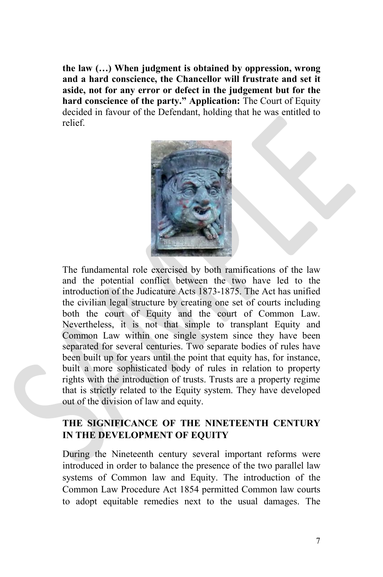**the law (…) When judgment is obtained by oppression, wrong and a hard conscience, the Chancellor will frustrate and set it aside, not for any error or defect in the judgement but for the hard conscience of the party." Application:** The Court of Equity decided in favour of the Defendant, holding that he was entitled to relief.



The fundamental role exercised by both ramifications of the law and the potential conflict between the two have led to the introduction of the Judicature Acts 1873-1875. The Act has unified the civilian legal structure by creating one set of courts including both the court of Equity and the court of Common Law. Nevertheless, it is not that simple to transplant Equity and Common Law within one single system since they have been separated for several centuries. Two separate bodies of rules have been built up for years until the point that equity has, for instance, built a more sophisticated body of rules in relation to property rights with the introduction of trusts. Trusts are a property regime that is strictly related to the Equity system. They have developed out of the division of law and equity.

#### **THE SIGNIFICANCE OF THE NINETEENTH CENTURY IN THE DEVELOPMENT OF EQUITY**

During the Nineteenth century several important reforms were introduced in order to balance the presence of the two parallel law systems of Common law and Equity. The introduction of the Common Law Procedure Act 1854 permitted Common law courts to adopt equitable remedies next to the usual damages. The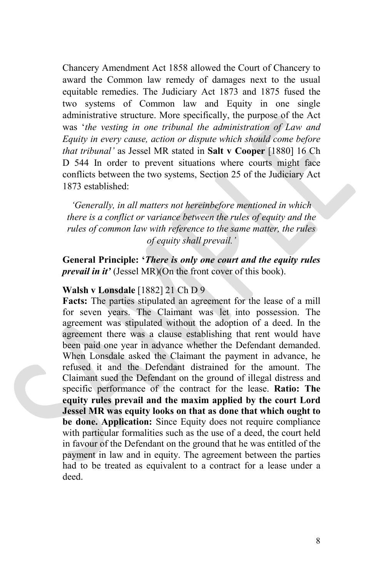Chancery Amendment Act 1858 allowed the Court of Chancery to award the Common law remedy of damages next to the usual equitable remedies. The Judiciary Act 1873 and 1875 fused the two systems of Common law and Equity in one single administrative structure. More specifically, the purpose of the Act was '*the vesting in one tribunal the administration of Law and Equity in every cause, action or dispute which should come before that tribunal'* as Jessel MR stated in **Salt v Cooper** [1880] 16 Ch D 544 In order to prevent situations where courts might face conflicts between the two systems, Section 25 of the Judiciary Act 1873 established:

*'Generally, in all matters not hereinbefore mentioned in which there is a conflict or variance between the rules of equity and the rules of common law with reference to the same matter, the rules of equity shall prevail.'*

**General Principle: '***There is only one court and the equity rules prevail in it'* (Jessel MR)(On the front cover of this book).

#### **Walsh v Lonsdale** [1882] 21 Ch D 9

**Facts:** The parties stipulated an agreement for the lease of a mill for seven years. The Claimant was let into possession. The agreement was stipulated without the adoption of a deed. In the agreement there was a clause establishing that rent would have been paid one year in advance whether the Defendant demanded. When Lonsdale asked the Claimant the payment in advance, he refused it and the Defendant distrained for the amount. The Claimant sued the Defendant on the ground of illegal distress and specific performance of the contract for the lease. **Ratio: The equity rules prevail and the maxim applied by the court Lord Jessel MR was equity looks on that as done that which ought to be done. Application:** Since Equity does not require compliance with particular formalities such as the use of a deed, the court held in favour of the Defendant on the ground that he was entitled of the payment in law and in equity. The agreement between the parties had to be treated as equivalent to a contract for a lease under a deed.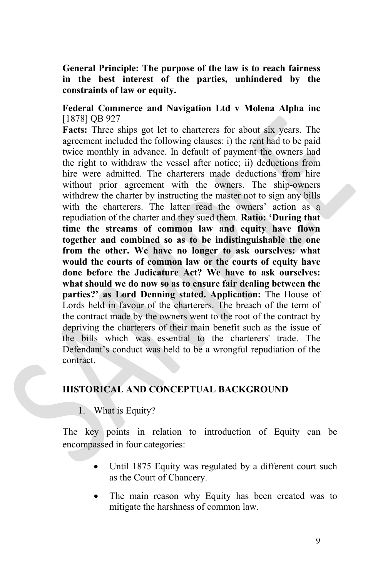#### **General Principle: The purpose of the law is to reach fairness in the best interest of the parties, unhindered by the constraints of law or equity.**

#### **Federal Commerce and Navigation Ltd v Molena Alpha inc** [1878] OB 927

**Facts:** Three ships got let to charterers for about six years. The agreement included the following clauses: i) the rent had to be paid twice monthly in advance. In default of payment the owners had the right to withdraw the vessel after notice; ii) deductions from hire were admitted. The charterers made deductions from hire without prior agreement with the owners. The ship-owners withdrew the charter by instructing the master not to sign any bills with the charterers. The latter read the owners' action as a repudiation of the charter and they sued them. **Ratio: 'During that time the streams of common law and equity have flown together and combined so as to be indistinguishable the one from the other. We have no longer to ask ourselves: what would the courts of common law or the courts of equity have done before the Judicature Act? We have to ask ourselves: what should we do now so as to ensure fair dealing between the parties?' as Lord Denning stated. Application:** The House of Lords held in favour of the charterers. The breach of the term of the contract made by the owners went to the root of the contract by depriving the charterers of their main benefit such as the issue of the bills which was essential to the charterers' trade. The Defendant's conduct was held to be a wrongful repudiation of the contract.

#### **HISTORICAL AND CONCEPTUAL BACKGROUND**

1. What is Equity?

The key points in relation to introduction of Equity can be encompassed in four categories:

- Until 1875 Equity was regulated by a different court such as the Court of Chancery.
- The main reason why Equity has been created was to mitigate the harshness of common law.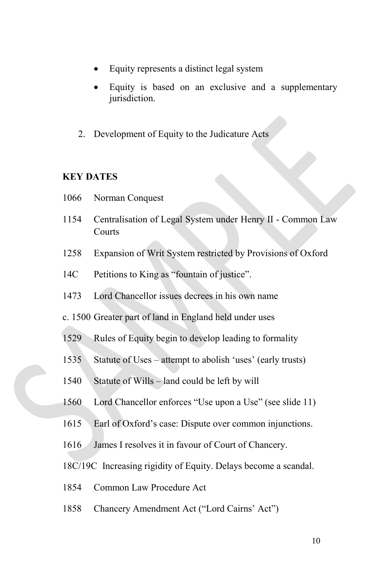- Equity represents a distinct legal system
- Equity is based on an exclusive and a supplementary jurisdiction.
- 2. Development of Equity to the Judicature Acts

#### **KEY DATES**

- 1066 Norman Conquest
- 1154 Centralisation of Legal System under Henry II Common Law Courts
- 1258 Expansion of Writ System restricted by Provisions of Oxford
- 14C Petitions to King as "fountain of justice".
- 1473 Lord Chancellor issues decrees in his own name
- c. 1500 Greater part of land in England held under uses
- 1529 Rules of Equity begin to develop leading to formality
- 1535 Statute of Uses attempt to abolish 'uses' (early trusts)
- 1540 Statute of Wills land could be left by will
- 1560 Lord Chancellor enforces "Use upon a Use" (see slide 11)
- 1615 Earl of Oxford's case: Dispute over common injunctions.
- 1616 James I resolves it in favour of Court of Chancery.
- 18C/19C Increasing rigidity of Equity. Delays become a scandal.
- 1854 Common Law Procedure Act
- 1858 Chancery Amendment Act ("Lord Cairns' Act")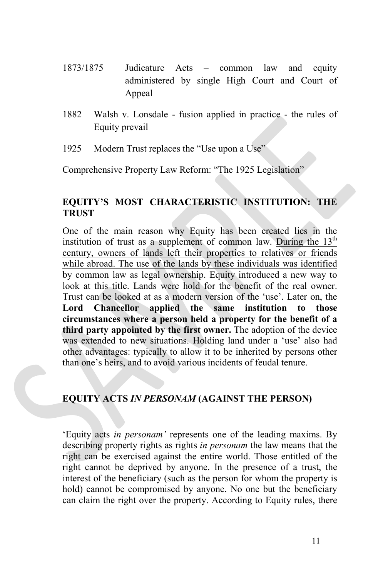- 1873/1875 Judicature Acts common law and equity administered by single High Court and Court of Appeal
- 1882 Walsh v. Lonsdale fusion applied in practice the rules of Equity prevail
- 1925 Modern Trust replaces the "Use upon a Use"

Comprehensive Property Law Reform: "The 1925 Legislation"

#### **EQUITY'S MOST CHARACTERISTIC INSTITUTION: THE TRUST**

One of the main reason why Equity has been created lies in the institution of trust as a supplement of common law. During the  $13<sup>th</sup>$ century, owners of lands left their properties to relatives or friends while abroad. The use of the lands by these individuals was identified by common law as legal ownership. Equity introduced a new way to look at this title. Lands were hold for the benefit of the real owner. Trust can be looked at as a modern version of the 'use'. Later on, the **Lord Chancellor applied the same institution to those circumstances where a person held a property for the benefit of a third party appointed by the first owner.** The adoption of the device was extended to new situations. Holding land under a 'use' also had other advantages: typically to allow it to be inherited by persons other than one's heirs, and to avoid various incidents of feudal tenure.

#### **EQUITY ACTS** *IN PERSONAM* **(AGAINST THE PERSON)**

'Equity acts *in personam'* represents one of the leading maxims. By describing property rights as rights *in personam* the law means that the right can be exercised against the entire world. Those entitled of the right cannot be deprived by anyone. In the presence of a trust, the interest of the beneficiary (such as the person for whom the property is hold) cannot be compromised by anyone. No one but the beneficiary can claim the right over the property. According to Equity rules, there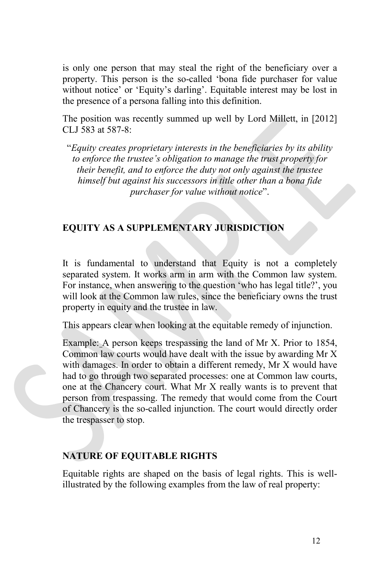is only one person that may steal the right of the beneficiary over a property. This person is the so-called 'bona fide purchaser for value without notice' or 'Equity's darling'. Equitable interest may be lost in the presence of a persona falling into this definition.

The position was recently summed up well by Lord Millett, in [2012] CLJ 583 at 587-8:

"*Equity creates proprietary interests in the beneficiaries by its ability to enforce the trustee's obligation to manage the trust property for their benefit, and to enforce the duty not only against the trustee himself but against his successors in title other than a bona fide purchaser for value without notice*".

#### **EQUITY AS A SUPPLEMENTARY JURISDICTION**

It is fundamental to understand that Equity is not a completely separated system. It works arm in arm with the Common law system. For instance, when answering to the question 'who has legal title?', you will look at the Common law rules, since the beneficiary owns the trust property in equity and the trustee in law.

This appears clear when looking at the equitable remedy of injunction.

Example: A person keeps trespassing the land of Mr X. Prior to 1854, Common law courts would have dealt with the issue by awarding Mr X with damages. In order to obtain a different remedy, Mr X would have had to go through two separated processes: one at Common law courts, one at the Chancery court. What Mr X really wants is to prevent that person from trespassing. The remedy that would come from the Court of Chancery is the so-called injunction. The court would directly order the trespasser to stop.

#### **NATURE OF EQUITABLE RIGHTS**

Equitable rights are shaped on the basis of legal rights. This is wellillustrated by the following examples from the law of real property: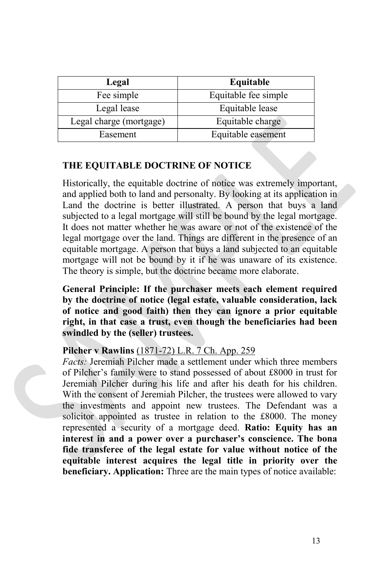| Legal                   | Equitable            |
|-------------------------|----------------------|
| Fee simple              | Equitable fee simple |
| Legal lease             | Equitable lease      |
| Legal charge (mortgage) | Equitable charge     |
| Easement                | Equitable easement   |

#### **THE EQUITABLE DOCTRINE OF NOTICE**

Historically, the equitable doctrine of notice was extremely important, and applied both to land and personalty. By looking at its application in Land the doctrine is better illustrated. A person that buys a land subjected to a legal mortgage will still be bound by the legal mortgage. It does not matter whether he was aware or not of the existence of the legal mortgage over the land. Things are different in the presence of an equitable mortgage. A person that buys a land subjected to an equitable mortgage will not be bound by it if he was unaware of its existence. The theory is simple, but the doctrine became more elaborate.

**General Principle: If the purchaser meets each element required by the doctrine of notice (legal estate, valuable consideration, lack of notice and good faith) then they can ignore a prior equitable right, in that case a trust, even though the beneficiaries had been swindled by the (seller) trustees.**

#### **Pilcher v Rawlins** [\(1871-72\)](http://login.westlaw.co.uk.lawdbs.law.ac.uk/maf/wluk/app/document?&suppsrguid=i0ad8289e000001567495fe87bf1b36ff&docguid=I22B912B0E42811DA8FC2A0F0355337E9&hitguid=I22B8EBA0E42811DA8FC2A0F0355337E9&rank=1&spos=1&epos=1&td=2&crumb-action=append&context=15&resolvein=true) L.R. 7 Ch. App. 259

*Facts:* Jeremiah Pilcher made a settlement under which three members of Pilcher's family were to stand possessed of about £8000 in trust for Jeremiah Pilcher during his life and after his death for his children. With the consent of Jeremiah Pilcher, the trustees were allowed to vary the investments and appoint new trustees. The Defendant was a solicitor appointed as trustee in relation to the £8000. The money represented a security of a mortgage deed. **Ratio: Equity has an interest in and a power over a purchaser's conscience. The bona fide transferee of the legal estate for value without notice of the equitable interest acquires the legal title in priority over the beneficiary. Application:** Three are the main types of notice available: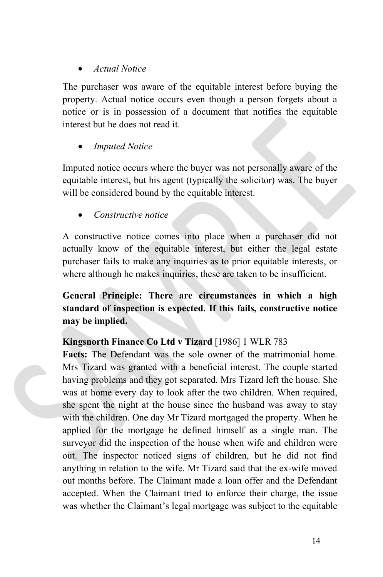#### • *Actual Notice*

The purchaser was aware of the equitable interest before buying the property. Actual notice occurs even though a person forgets about a notice or is in possession of a document that notifies the equitable interest but he does not read it.

#### • *Imputed Notice*

Imputed notice occurs where the buyer was not personally aware of the equitable interest, but his agent (typically the solicitor) was. The buyer will be considered bound by the equitable interest.

#### • *Constructive notice*

A constructive notice comes into place when a purchaser did not actually know of the equitable interest, but either the legal estate purchaser fails to make any inquiries as to prior equitable interests, or where although he makes inquiries, these are taken to be insufficient.

#### **General Principle: There are circumstances in which a high standard of inspection is expected. If this fails, constructive notice may be implied.**

#### **Kingsnorth Finance Co Ltd v Tizard** [1986] 1 WLR 783

**Facts:** The Defendant was the sole owner of the matrimonial home. Mrs Tizard was granted with a beneficial interest. The couple started having problems and they got separated. Mrs Tizard left the house. She was at home every day to look after the two children. When required, she spent the night at the house since the husband was away to stay with the children. One day Mr Tizard mortgaged the property. When he applied for the mortgage he defined himself as a single man. The surveyor did the inspection of the house when wife and children were out. The inspector noticed signs of children, but he did not find anything in relation to the wife. Mr Tizard said that the ex-wife moved out months before. The Claimant made a loan offer and the Defendant accepted. When the Claimant tried to enforce their charge, the issue was whether the Claimant's legal mortgage was subject to the equitable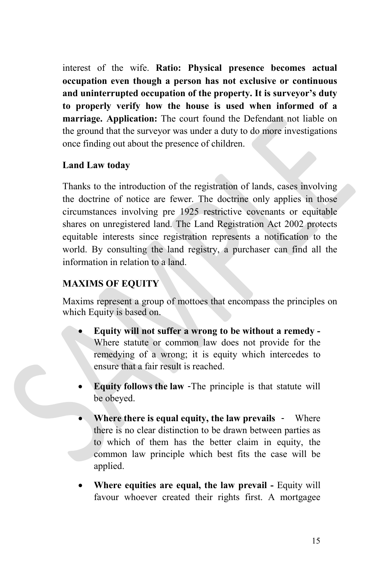interest of the wife. **Ratio: Physical presence becomes actual occupation even though a person has not exclusive or continuous and uninterrupted occupation of the property. It is surveyor's duty to properly verify how the house is used when informed of a marriage. Application:** The court found the Defendant not liable on the ground that the surveyor was under a duty to do more investigations once finding out about the presence of children.

#### **Land Law today**

Thanks to the introduction of the registration of lands, cases involving the doctrine of notice are fewer. The doctrine only applies in those circumstances involving pre 1925 restrictive covenants or equitable shares on unregistered land. The Land Registration Act 2002 protects equitable interests since registration represents a notification to the world. By consulting the land registry, a purchaser can find all the information in relation to a land.

#### **MAXIMS OF EQUITY**

Maxims represent a group of mottoes that encompass the principles on which Equity is based on.

- **Equity will not suffer a wrong to be without a remedy -** Where statute or common law does not provide for the remedying of a wrong; it is equity which intercedes to ensure that a fair result is reached.
- **Equity follows the law** -The principle is that statute will be obeyed.
- **Where there is equal equity, the law prevails** Where there is no clear distinction to be drawn between parties as to which of them has the better claim in equity, the common law principle which best fits the case will be applied.
- **Where equities are equal, the law prevail -** Equity will favour whoever created their rights first. A mortgagee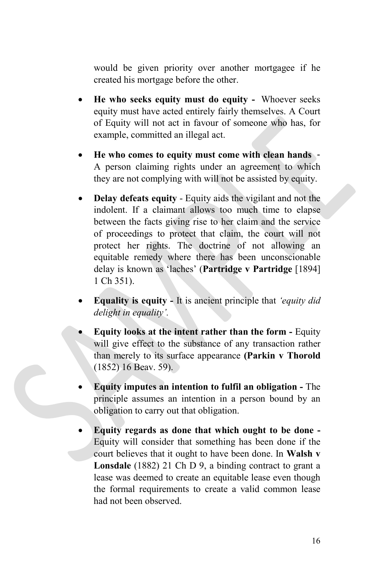would be given priority over another mortgagee if he created his mortgage before the other.

- **He who seeks equity must do equity -** Whoever seeks equity must have acted entirely fairly themselves. A Court of Equity will not act in favour of someone who has, for example, committed an illegal act.
- **He who comes to equity must come with clean hands** A person claiming rights under an agreement to which they are not complying with will not be assisted by equity.
- **Delay defeats equity** Equity aids the vigilant and not the indolent. If a claimant allows too much time to elapse between the facts giving rise to her claim and the service of proceedings to protect that claim, the court will not protect her rights. The doctrine of not allowing an equitable remedy where there has been unconscionable delay is known as 'laches' (**Partridge v Partridge** [1894] 1 Ch 351).
- **Equality is equity -** It is ancient principle that *'equity did delight in equality'.*
- **Equity looks at the intent rather than the form -** Equity will give effect to the substance of any transaction rather than merely to its surface appearance **(Parkin v Thorold** (1852) 16 Beav. 59).
- **Equity imputes an intention to fulfil an obligation -** The principle assumes an intention in a person bound by an obligation to carry out that obligation.
- **Equity regards as done that which ought to be done -** Equity will consider that something has been done if the court believes that it ought to have been done. In **Walsh v Lonsdale** (1882) 21 Ch D 9, a binding contract to grant a lease was deemed to create an equitable lease even though the formal requirements to create a valid common lease had not been observed.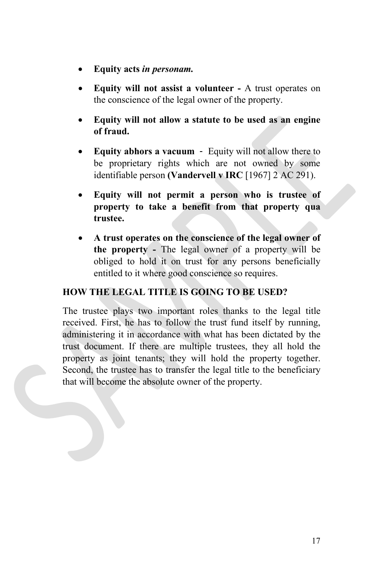- **Equity acts** *in personam.*
- **Equity will not assist a volunteer -** A trust operates on the conscience of the legal owner of the property.
- **Equity will not allow a statute to be used as an engine of fraud.**
- **Equity abhors a vacuum** Equity will not allow there to be proprietary rights which are not owned by some identifiable person **(Vandervell v IRC** [1967] 2 AC 291).
- **Equity will not permit a person who is trustee of property to take a benefit from that property qua trustee.**
- **A trust operates on the conscience of the legal owner of the property -** The legal owner of a property will be obliged to hold it on trust for any persons beneficially entitled to it where good conscience so requires.

#### **HOW THE LEGAL TITLE IS GOING TO BE USED?**

The trustee plays two important roles thanks to the legal title received. First, he has to follow the trust fund itself by running, administering it in accordance with what has been dictated by the trust document. If there are multiple trustees, they all hold the property as joint tenants; they will hold the property together. Second, the trustee has to transfer the legal title to the beneficiary that will become the absolute owner of the property.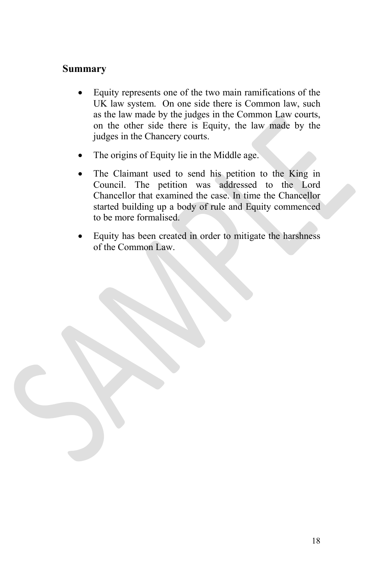#### **Summary**

- Equity represents one of the two main ramifications of the UK law system. On one side there is Common law, such as the law made by the judges in the Common Law courts, on the other side there is Equity, the law made by the judges in the Chancery courts.
- The origins of Equity lie in the Middle age.
- The Claimant used to send his petition to the King in Council. The petition was addressed to the Lord Chancellor that examined the case. In time the Chancellor started building up a body of rule and Equity commenced to be more formalised.
- Equity has been created in order to mitigate the harshness of the Common Law.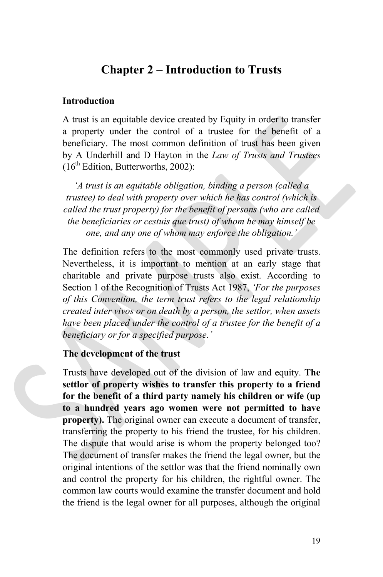#### **Chapter 2 – Introduction to Trusts**

#### **Introduction**

A trust is an equitable device created by Equity in order to transfer a property under the control of a trustee for the benefit of a beneficiary. The most common definition of trust has been given by A Underhill and D Hayton in the *Law of Trusts and Trustees*  $(16<sup>th</sup> Edition, Butterworths, 2002)$ :

*'A trust is an equitable obligation, binding a person (called a trustee) to deal with property over which he has control (which is called the trust property) for the benefit of persons (who are called the beneficiaries or cestuis que trust) of whom he may himself be one, and any one of whom may enforce the obligation.'*

The definition refers to the most commonly used private trusts. Nevertheless, it is important to mention at an early stage that charitable and private purpose trusts also exist. According to Section 1 of the Recognition of Trusts Act 1987, *'For the purposes of this Convention, the term trust refers to the legal relationship created inter vivos or on death by a person, the settlor, when assets have been placed under the control of a trustee for the benefit of a beneficiary or for a specified purpose.'*

#### **The development of the trust**

Trusts have developed out of the division of law and equity. **The settlor of property wishes to transfer this property to a friend for the benefit of a third party namely his children or wife (up to a hundred years ago women were not permitted to have property).** The original owner can execute a document of transfer, transferring the property to his friend the trustee, for his children. The dispute that would arise is whom the property belonged too? The document of transfer makes the friend the legal owner, but the original intentions of the settlor was that the friend nominally own and control the property for his children, the rightful owner. The common law courts would examine the transfer document and hold the friend is the legal owner for all purposes, although the original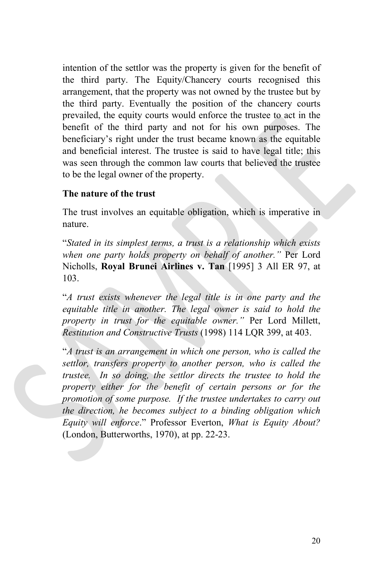intention of the settlor was the property is given for the benefit of the third party. The Equity/Chancery courts recognised this arrangement, that the property was not owned by the trustee but by the third party. Eventually the position of the chancery courts prevailed, the equity courts would enforce the trustee to act in the benefit of the third party and not for his own purposes. The beneficiary's right under the trust became known as the equitable and beneficial interest. The trustee is said to have legal title; this was seen through the common law courts that believed the trustee to be the legal owner of the property.

#### **The nature of the trust**

The trust involves an equitable obligation, which is imperative in nature.

"*Stated in its simplest terms, a trust is a relationship which exists when one party holds property on behalf of another."* Per Lord Nicholls, **Royal Brunei Airlines v. Tan** [1995] 3 All ER 97, at 103.

"*A trust exists whenever the legal title is in one party and the equitable title in another. The legal owner is said to hold the property in trust for the equitable owner."* Per Lord Millett, *Restitution and Constructive Trusts* (1998) 114 LQR 399, at 403.

"*A trust is an arrangement in which one person, who is called the settlor, transfers property to another person, who is called the trustee. In so doing, the settlor directs the trustee to hold the property either for the benefit of certain persons or for the promotion of some purpose. If the trustee undertakes to carry out the direction, he becomes subject to a binding obligation which Equity will enforce*." Professor Everton, *What is Equity About?* (London, Butterworths, 1970), at pp. 22-23.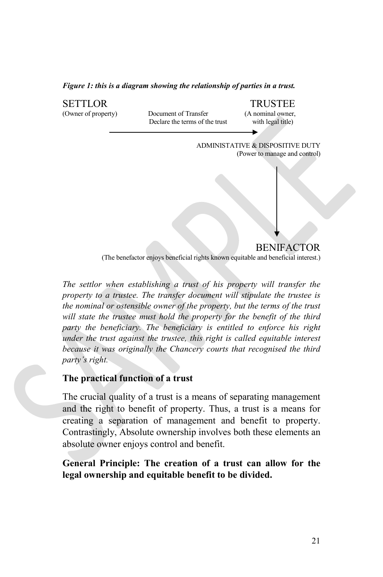*Figure 1: this is a diagram showing the relationship of parties in a trust.*



*The settlor when establishing a trust of his property will transfer the property to a trustee. The transfer document will stipulate the trustee is the nominal or ostensible owner of the property, but the terms of the trust will state the trustee must hold the property for the benefit of the third party the beneficiary. The beneficiary is entitled to enforce his right under the trust against the trustee, this right is called equitable interest because it was originally the Chancery courts that recognised the third party's right.*

#### **The practical function of a trust**

The crucial quality of a trust is a means of separating management and the right to benefit of property. Thus, a trust is a means for creating a separation of management and benefit to property. Contrastingly, Absolute ownership involves both these elements an absolute owner enjoys control and benefit.

**General Principle: The creation of a trust can allow for the legal ownership and equitable benefit to be divided.**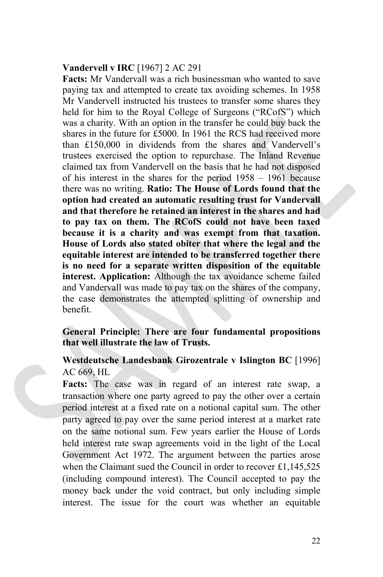#### **Vandervell v IRC** [1967] 2 AC 291

**Facts:** Mr Vandervall was a rich businessman who wanted to save paying tax and attempted to create tax avoiding schemes. In 1958 Mr Vandervell instructed his trustees to transfer some shares they held for him to the Royal College of Surgeons ("RCofS") which was a charity. With an option in the transfer he could buy back the shares in the future for £5000. In 1961 the RCS had received more than £150,000 in dividends from the shares and Vandervell's trustees exercised the option to repurchase. The Inland Revenue claimed tax from Vandervell on the basis that he had not disposed of his interest in the shares for the period 1958 – 1961 because there was no writing. **Ratio: The House of Lords found that the option had created an automatic resulting trust for Vandervall and that therefore he retained an interest in the shares and had to pay tax on them. The RCofS could not have been taxed because it is a charity and was exempt from that taxation. House of Lords also stated obiter that where the legal and the equitable interest are intended to be transferred together there is no need for a separate written disposition of the equitable interest. Application:** Although the tax avoidance scheme failed and Vandervall was made to pay tax on the shares of the company, the case demonstrates the attempted splitting of ownership and benefit.

#### **General Principle: There are four fundamental propositions that well illustrate the law of Trusts.**

#### **Westdeutsche Landesbank Girozentrale v Islington BC** [1996] AC 669, HL

**Facts:** The case was in regard of an interest rate swap, a transaction where one party agreed to pay the other over a certain period interest at a fixed rate on a notional capital sum. The other party agreed to pay over the same period interest at a market rate on the same notional sum. Few years earlier the House of Lords held interest rate swap agreements void in the light of the Local Government Act 1972. The argument between the parties arose when the Claimant sued the Council in order to recover £1,145,525 (including compound interest). The Council accepted to pay the money back under the void contract, but only including simple interest. The issue for the court was whether an equitable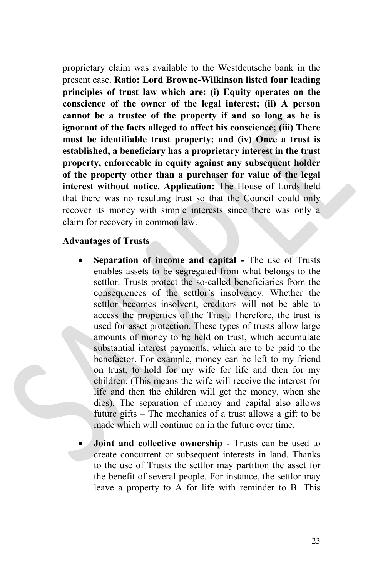proprietary claim was available to the Westdeutsche bank in the present case. **Ratio: Lord Browne-Wilkinson listed four leading principles of trust law which are: (i) Equity operates on the conscience of the owner of the legal interest; (ii) A person cannot be a trustee of the property if and so long as he is ignorant of the facts alleged to affect his conscience; (iii) There must be identifiable trust property; and (iv) Once a trust is established, a beneficiary has a proprietary interest in the trust property, enforceable in equity against any subsequent holder of the property other than a purchaser for value of the legal interest without notice. Application:** The House of Lords held that there was no resulting trust so that the Council could only recover its money with simple interests since there was only a claim for recovery in common law.

#### **Advantages of Trusts**

- **Separation of income and capital -** The use of Trusts enables assets to be segregated from what belongs to the settlor. Trusts protect the so-called beneficiaries from the consequences of the settlor's insolvency. Whether the settlor becomes insolvent, creditors will not be able to access the properties of the Trust. Therefore, the trust is used for asset protection. These types of trusts allow large amounts of money to be held on trust, which accumulate substantial interest payments, which are to be paid to the benefactor. For example, money can be left to my friend on trust, to hold for my wife for life and then for my children. (This means the wife will receive the interest for life and then the children will get the money, when she dies). The separation of money and capital also allows future gifts – The mechanics of a trust allows a gift to be made which will continue on in the future over time.
- **Joint and collective ownership -** Trusts can be used to create concurrent or subsequent interests in land. Thanks to the use of Trusts the settlor may partition the asset for the benefit of several people. For instance, the settlor may leave a property to A for life with reminder to B. This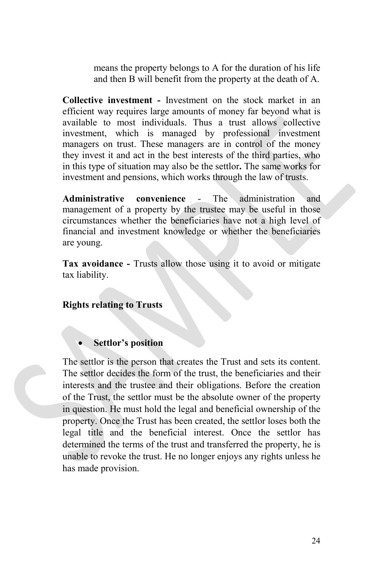means the property belongs to A for the duration of his life and then B will benefit from the property at the death of A.

**Collective investment -** Investment on the stock market in an efficient way requires large amounts of money far beyond what is available to most individuals. Thus a trust allows collective investment, which is managed by professional investment managers on trust. These managers are in control of the money they invest it and act in the best interests of the third parties, who in this type of situation may also be the settlor**.** The same works for investment and pensions, which works through the law of trusts.

**Administrative convenience** - The administration and management of a property by the trustee may be useful in those circumstances whether the beneficiaries have not a high level of financial and investment knowledge or whether the beneficiaries are young.

**Tax avoidance -** Trusts allow those using it to avoid or mitigate tax liability.

**Rights relating to Trusts**

#### • **Settlor's position**

The settlor is the person that creates the Trust and sets its content. The settlor decides the form of the trust, the beneficiaries and their interests and the trustee and their obligations. Before the creation of the Trust, the settlor must be the absolute owner of the property in question. He must hold the legal and beneficial ownership of the property. Once the Trust has been created, the settlor loses both the legal title and the beneficial interest. Once the settlor has determined the terms of the trust and transferred the property, he is unable to revoke the trust. He no longer enjoys any rights unless he has made provision.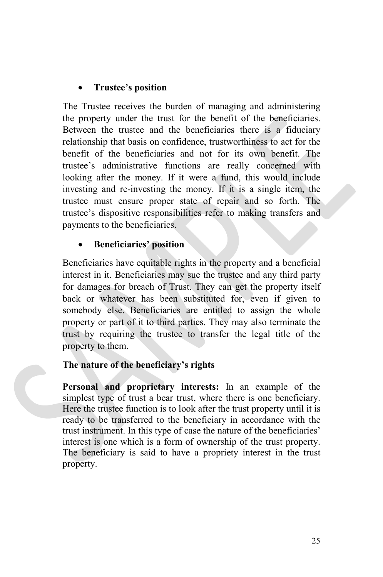#### • **Trustee's position**

The Trustee receives the burden of managing and administering the property under the trust for the benefit of the beneficiaries. Between the trustee and the beneficiaries there is a fiduciary relationship that basis on confidence, trustworthiness to act for the benefit of the beneficiaries and not for its own benefit. The trustee's administrative functions are really concerned with looking after the money. If it were a fund, this would include investing and re-investing the money. If it is a single item, the trustee must ensure proper state of repair and so forth. The trustee's dispositive responsibilities refer to making transfers and payments to the beneficiaries.

#### • **Beneficiaries' position**

Beneficiaries have equitable rights in the property and a beneficial interest in it. Beneficiaries may sue the trustee and any third party for damages for breach of Trust. They can get the property itself back or whatever has been substituted for, even if given to somebody else. Beneficiaries are entitled to assign the whole property or part of it to third parties. They may also terminate the trust by requiring the trustee to transfer the legal title of the property to them.

#### **The nature of the beneficiary's rights**

**Personal and proprietary interests:** In an example of the simplest type of trust a bear trust, where there is one beneficiary. Here the trustee function is to look after the trust property until it is ready to be transferred to the beneficiary in accordance with the trust instrument. In this type of case the nature of the beneficiaries' interest is one which is a form of ownership of the trust property. The beneficiary is said to have a propriety interest in the trust property.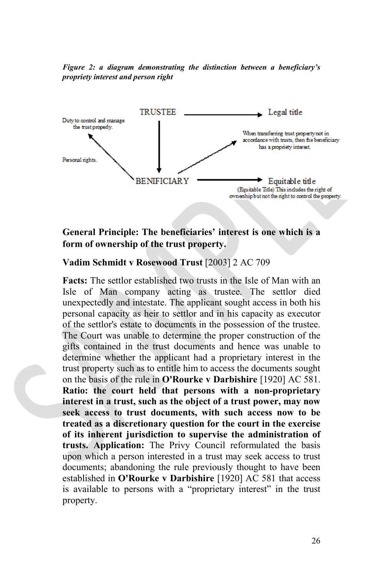*Figure 2: a diagram demonstrating the distinction between a beneficiary's propriety interest and person right*



#### **General Principle: The beneficiaries' interest is one which is a form of ownership of the trust property.**

#### **Vadim Schmidt v Rosewood Trust** [2003] 2 AC 709

**Facts:** The settlor established two trusts in the Isle of Man with an Isle of Man company acting as trustee. The settlor died unexpectedly and intestate. The applicant sought access in both his personal capacity as heir to settlor and in his capacity as executor of the settlor's estate to documents in the possession of the trustee. The Court was unable to determine the proper construction of the gifts contained in the trust documents and hence was unable to determine whether the applicant had a proprietary interest in the trust property such as to entitle him to access the documents sought on the basis of the rule in **O'Rourke v Darbishire** [1920] AC 581. **Ratio: the court held that persons with a non-proprietary interest in a trust, such as the object of a trust power, may now seek access to trust documents, with such access now to be treated as a discretionary question for the court in the exercise of its inherent jurisdiction to supervise the administration of trusts. Application:** The Privy Council reformulated the basis upon which a person interested in a trust may seek access to trust documents; abandoning the rule previously thought to have been established in **O'Rourke v Darbishire** [1920] AC 581 that access is available to persons with a "proprietary interest" in the trust property.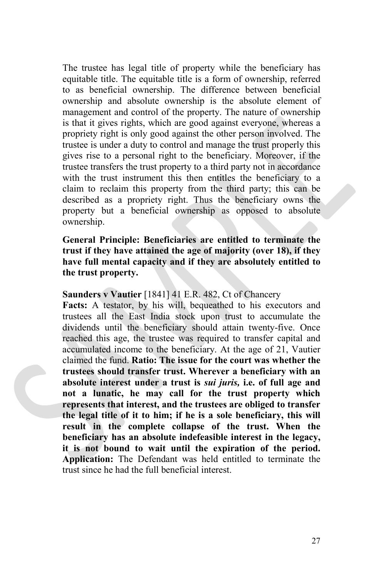The trustee has legal title of property while the beneficiary has equitable title. The equitable title is a form of ownership, referred to as beneficial ownership. The difference between beneficial ownership and absolute ownership is the absolute element of management and control of the property. The nature of ownership is that it gives rights, which are good against everyone, whereas a propriety right is only good against the other person involved. The trustee is under a duty to control and manage the trust properly this gives rise to a personal right to the beneficiary. Moreover, if the trustee transfers the trust property to a third party not in accordance with the trust instrument this then entitles the beneficiary to a claim to reclaim this property from the third party; this can be described as a propriety right. Thus the beneficiary owns the property but a beneficial ownership as opposed to absolute ownership.

#### **General Principle: Beneficiaries are entitled to terminate the trust if they have attained the age of majority (over 18), if they have full mental capacity and if they are absolutely entitled to the trust property.**

#### **Saunders v Vautier** [1841] 41 E.R. 482, Ct of Chancery

**Facts:** A testator, by his will, bequeathed to his executors and trustees all the East India stock upon trust to accumulate the dividends until the beneficiary should attain twenty-five. Once reached this age, the trustee was required to transfer capital and accumulated income to the beneficiary. At the age of 21, Vautier claimed the fund. **Ratio: The issue for the court was whether the trustees should transfer trust. Wherever a beneficiary with an absolute interest under a trust is** *sui juris,* **i.e. of full age and not a lunatic, he may call for the trust property which represents that interest, and the trustees are obliged to transfer the legal title of it to him; if he is a sole beneficiary, this will result in the complete collapse of the trust. When the beneficiary has an absolute indefeasible interest in the legacy, it is not bound to wait until the expiration of the period. Application:** The Defendant was held entitled to terminate the trust since he had the full beneficial interest.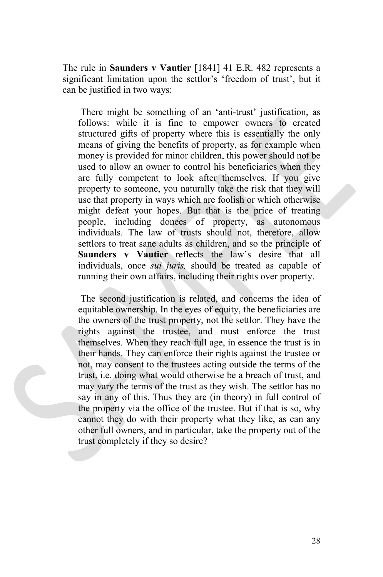The rule in **Saunders v Vautier** [1841] 41 E.R. 482 represents a significant limitation upon the settlor's 'freedom of trust', but it can be justified in two ways:

There might be something of an 'anti-trust' justification, as follows: while it is fine to empower owners to created structured gifts of property where this is essentially the only means of giving the benefits of property, as for example when money is provided for minor children, this power should not be used to allow an owner to control his beneficiaries when they are fully competent to look after themselves. If you give property to someone, you naturally take the risk that they will use that property in ways which are foolish or which otherwise might defeat your hopes. But that is the price of treating people, including donees of property, as autonomous individuals. The law of trusts should not, therefore, allow settlors to treat sane adults as children, and so the principle of **Saunders v Vautier** reflects the law's desire that all individuals, once *sui juris,* should be treated as capable of running their own affairs, including their rights over property.

The second justification is related, and concerns the idea of equitable ownership. In the eyes of equity, the beneficiaries are the owners of the trust property, not the settlor. They have the rights against the trustee, and must enforce the trust themselves. When they reach full age, in essence the trust is in their hands. They can enforce their rights against the trustee or not, may consent to the trustees acting outside the terms of the trust, i.e. doing what would otherwise be a breach of trust, and may vary the terms of the trust as they wish. The settlor has no say in any of this. Thus they are (in theory) in full control of the property via the office of the trustee. But if that is so, why cannot they do with their property what they like, as can any other full owners, and in particular, take the property out of the trust completely if they so desire?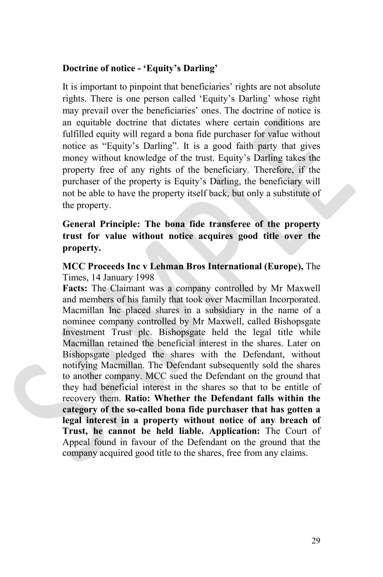#### **Doctrine of notice - 'Equity's Darling'**

It is important to pinpoint that beneficiaries' rights are not absolute rights. There is one person called 'Equity's Darling' whose right may prevail over the beneficiaries' ones. The doctrine of notice is an equitable doctrine that dictates where certain conditions are fulfilled equity will regard a bona fide purchaser for value without notice as "Equity's Darling". It is a good faith party that gives money without knowledge of the trust. Equity's Darling takes the property free of any rights of the beneficiary. Therefore, if the purchaser of the property is Equity's Darling, the beneficiary will not be able to have the property itself back, but only a substitute of the property.

#### **General Principle: The bona fide transferee of the property trust for value without notice acquires good title over the property.**

#### **MCC Proceeds Inc v Lehman Bros International (Europe),** The Times, 14 January 1998

**Facts:** The Claimant was a company controlled by Mr Maxwell and members of his family that took over Macmillan Incorporated. Macmillan Inc placed shares in a subsidiary in the name of a nominee company controlled by Mr Maxwell, called Bishopsgate Investment Trust plc. Bishopsgate held the legal title while Macmillan retained the beneficial interest in the shares. Later on Bishopsgate pledged the shares with the Defendant, without notifying Macmillan. The Defendant subsequently sold the shares to another company. MCC sued the Defendant on the ground that they had beneficial interest in the shares so that to be entitle of recovery them. **Ratio: Whether the Defendant falls within the category of the so-called bona fide purchaser that has gotten a legal interest in a property without notice of any breach of Trust, he cannot be held liable. Application:** The Court of Appeal found in favour of the Defendant on the ground that the company acquired good title to the shares, free from any claims.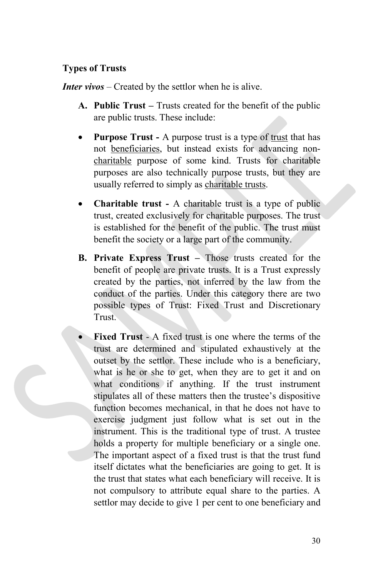#### **Types of Trusts**

*Inter vivos* – Created by the settlor when he is alive.

- **A. Public Trust –** Trusts created for the benefit of the public are public trusts. These include:
- **Purpose Trust -** A purpose trust is a type of [trust](http://dictionary.sensagent.com/Trust%20law/en-en/) that has not [beneficiaries,](http://dictionary.sensagent.com/Beneficiary%20(trust)/en-en/) but instead exists for advancing non[charitable](http://dictionary.sensagent.com/Charitable%20trust/en-en/) purpose of some kind. Trusts for charitable purposes are also technically purpose trusts, but they are usually referred to simply as [charitable](http://dictionary.sensagent.com/Charitable%20trust/en-en/) trusts.
- **Charitable trust -** A charitable trust is a type of public trust, created exclusively for charitable purposes. The trust is established for the benefit of the public. The trust must benefit the society or a large part of the community.
- **B. Private Express Trust –** Those trusts created for the benefit of people are private trusts. It is a Trust expressly created by the parties, not inferred by the law from the conduct of the parties. Under this category there are two possible types of Trust: Fixed Trust and Discretionary Trust.
- **Fixed Trust** A fixed trust is one where the terms of the trust are determined and stipulated exhaustively at the outset by the settlor. These include who is a beneficiary, what is he or she to get, when they are to get it and on what conditions if anything. If the trust instrument stipulates all of these matters then the trustee's dispositive function becomes mechanical, in that he does not have to exercise judgment just follow what is set out in the instrument. This is the traditional type of trust. A trustee holds a property for multiple beneficiary or a single one. The important aspect of a fixed trust is that the trust fund itself dictates what the beneficiaries are going to get. It is the trust that states what each beneficiary will receive. It is not compulsory to attribute equal share to the parties. A settlor may decide to give 1 per cent to one beneficiary and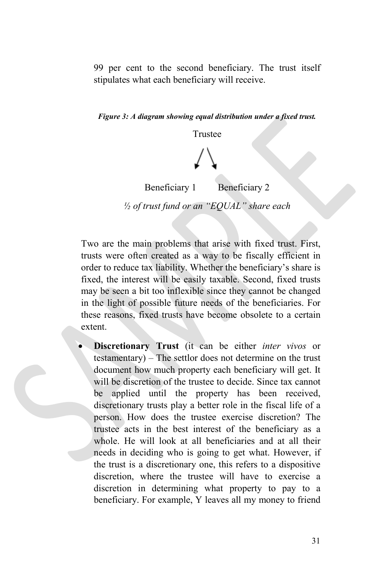99 per cent to the second beneficiary. The trust itself stipulates what each beneficiary will receive.

*Figure 3: A diagram showing equal distribution under a fixed trust.*

Trustee

Beneficiary 1 Beneficiary 2

*½ of trust fund or an "EQUAL" share each*

Two are the main problems that arise with fixed trust. First, trusts were often created as a way to be fiscally efficient in order to reduce tax liability. Whether the beneficiary's share is fixed, the interest will be easily taxable. Second, fixed trusts may be seen a bit too inflexible since they cannot be changed in the light of possible future needs of the beneficiaries. For these reasons, fixed trusts have become obsolete to a certain extent.

• **Discretionary Trust** (it can be either *inter vivos* or testamentary) – The settlor does not determine on the trust document how much property each beneficiary will get. It will be discretion of the trustee to decide. Since tax cannot be applied until the property has been received, discretionary trusts play a better role in the fiscal life of a person. How does the trustee exercise discretion? The trustee acts in the best interest of the beneficiary as a whole. He will look at all beneficiaries and at all their needs in deciding who is going to get what. However, if the trust is a discretionary one, this refers to a dispositive discretion, where the trustee will have to exercise a discretion in determining what property to pay to a beneficiary. For example, Y leaves all my money to friend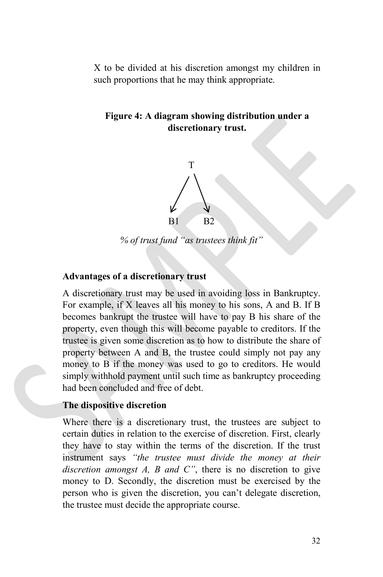X to be divided at his discretion amongst my children in such proportions that he may think appropriate.

#### **Figure 4: A diagram showing distribution under a discretionary trust.**



*% of trust fund "as trustees think fit"*

#### **Advantages of a discretionary trust**

A discretionary trust may be used in avoiding loss in Bankruptcy. For example, if X leaves all his money to his sons, A and B. If B becomes bankrupt the trustee will have to pay B his share of the property, even though this will become payable to creditors. If the trustee is given some discretion as to how to distribute the share of property between A and B, the trustee could simply not pay any money to B if the money was used to go to creditors. He would simply withhold payment until such time as bankruptcy proceeding had been concluded and free of debt.

#### **The dispositive discretion**

Where there is a discretionary trust, the trustees are subject to certain duties in relation to the exercise of discretion. First, clearly they have to stay within the terms of the discretion. If the trust instrument says *"the trustee must divide the money at their discretion amongst A, B and C"*, there is no discretion to give money to D. Secondly, the discretion must be exercised by the person who is given the discretion, you can't delegate discretion, the trustee must decide the appropriate course.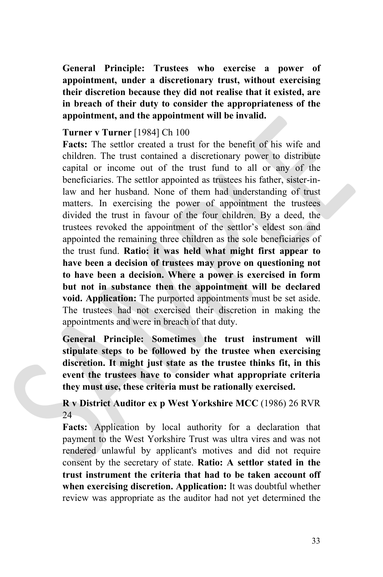**General Principle: Trustees who exercise a power of appointment, under a discretionary trust, without exercising their discretion because they did not realise that it existed, are in breach of their duty to consider the appropriateness of the appointment, and the appointment will be invalid.**

#### **Turner v Turner** [1984] Ch 100

**Facts:** The settlor created a trust for the benefit of his wife and children. The trust contained a discretionary power to distribute capital or income out of the trust fund to all or any of the beneficiaries. The settlor appointed as trustees his father, sister-inlaw and her husband. None of them had understanding of trust matters. In exercising the power of appointment the trustees divided the trust in favour of the four children. By a deed, the trustees revoked the appointment of the settlor's eldest son and appointed the remaining three children as the sole beneficiaries of the trust fund. **Ratio: it was held what might first appear to have been a decision of trustees may prove on questioning not to have been a decision. Where a power is exercised in form but not in substance then the appointment will be declared void. Application:** The purported appointments must be set aside. The trustees had not exercised their discretion in making the appointments and were in breach of that duty.

**General Principle: Sometimes the trust instrument will stipulate steps to be followed by the trustee when exercising discretion. It might just state as the trustee thinks fit, in this event the trustees have to consider what appropriate criteria they must use, these criteria must be rationally exercised.**

#### **R v District Auditor ex p West Yorkshire MCC** (1986) 26 RVR 24

**Facts:** Application by local authority for a declaration that payment to the West Yorkshire Trust was ultra vires and was not rendered unlawful by applicant's motives and did not require consent by the secretary of state. **Ratio: A settlor stated in the trust instrument the criteria that had to be taken account off when exercising discretion. Application:** It was doubtful whether review was appropriate as the auditor had not yet determined the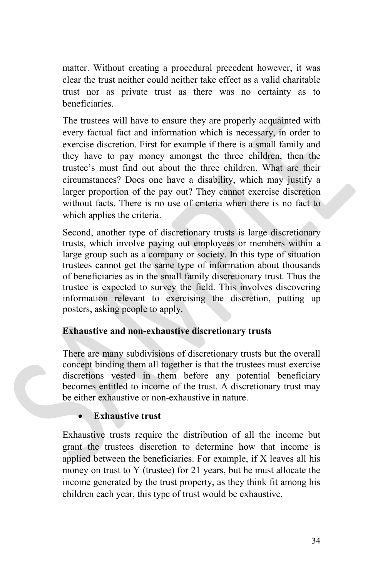matter. Without creating a procedural precedent however, it was clear the trust neither could neither take effect as a valid charitable trust nor as private trust as there was no certainty as to beneficiaries.

The trustees will have to ensure they are properly acquainted with every factual fact and information which is necessary, in order to exercise discretion. First for example if there is a small family and they have to pay money amongst the three children, then the trustee's must find out about the three children. What are their circumstances? Does one have a disability, which may justify a larger proportion of the pay out? They cannot exercise discretion without facts. There is no use of criteria when there is no fact to which applies the criteria.

Second, another type of discretionary trusts is large discretionary trusts, which involve paying out employees or members within a large group such as a company or society. In this type of situation trustees cannot get the same type of information about thousands of beneficiaries as in the small family discretionary trust. Thus the trustee is expected to survey the field. This involves discovering information relevant to exercising the discretion, putting up posters, asking people to apply.

#### **Exhaustive and non-exhaustive discretionary trusts**

There are many subdivisions of discretionary trusts but the overall concept binding them all together is that the trustees must exercise discretions vested in them before any potential beneficiary becomes entitled to income of the trust. A discretionary trust may be either exhaustive or non-exhaustive in nature.

#### • **Exhaustive trust**

Exhaustive trusts require the distribution of all the income but grant the trustees discretion to determine how that income is applied between the beneficiaries. For example, if X leaves all his money on trust to Y (trustee) for 21 years, but he must allocate the income generated by the trust property, as they think fit among his children each year, this type of trust would be exhaustive.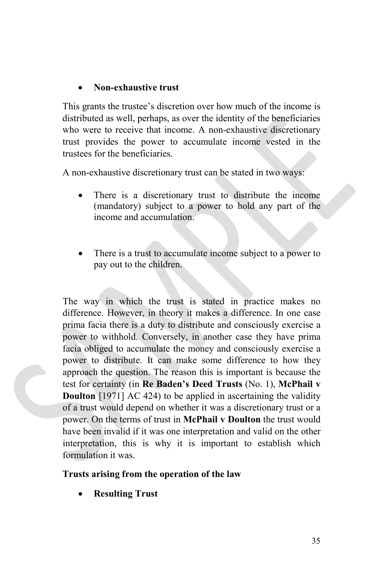#### • **Non-exhaustive trust**

This grants the trustee's discretion over how much of the income is distributed as well, perhaps, as over the identity of the beneficiaries who were to receive that income. A non-exhaustive discretionary trust provides the power to accumulate income vested in the trustees for the beneficiaries.

A non-exhaustive discretionary trust can be stated in two ways:

- There is a discretionary trust to distribute the income (mandatory) subject to a power to hold any part of the income and accumulation.
- There is a trust to accumulate income subject to a power to pay out to the children.

The way in which the trust is stated in practice makes no difference. However, in theory it makes a difference. In one case prima facia there is a duty to distribute and consciously exercise a power to withhold. Conversely, in another case they have prima facia obliged to accumulate the money and consciously exercise a power to distribute. It can make some difference to how they approach the question. The reason this is important is because the test for certainty (in **Re Baden's Deed Trusts** (No. 1), **McPhail v Doulton** [1971] AC 424) to be applied in ascertaining the validity of a trust would depend on whether it was a discretionary trust or a power. On the terms of trust in **McPhail v Doulton** the trust would have been invalid if it was one interpretation and valid on the other interpretation, this is why it is important to establish which formulation it was.

#### **Trusts arising from the operation of the law**

• **Resulting Trust**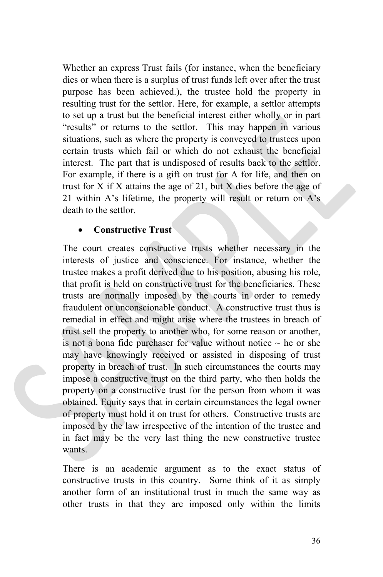Whether an express Trust fails (for instance, when the beneficiary dies or when there is a surplus of trust funds left over after the trust purpose has been achieved.), the trustee hold the property in resulting trust for the settlor. Here, for example, a settlor attempts to set up a trust but the beneficial interest either wholly or in part "results" or returns to the settlor. This may happen in various situations, such as where the property is conveyed to trustees upon certain trusts which fail or which do not exhaust the beneficial interest. The part that is undisposed of results back to the settlor. For example, if there is a gift on trust for A for life, and then on trust for  $X$  if  $X$  attains the age of 21, but  $X$  dies before the age of 21 within A's lifetime, the property will result or return on A's death to the settlor.

#### • **Constructive Trust**

The court creates constructive trusts whether necessary in the interests of justice and conscience. For instance, whether the trustee makes a profit derived due to his position, abusing his role, that profit is held on constructive trust for the beneficiaries. These trusts are normally imposed by the courts in order to remedy fraudulent or unconscionable conduct. A constructive trust thus is remedial in effect and might arise where the trustees in breach of trust sell the property to another who, for some reason or another, is not a bona fide purchaser for value without notice  $\sim$  he or she may have knowingly received or assisted in disposing of trust property in breach of trust. In such circumstances the courts may impose a constructive trust on the third party, who then holds the property on a constructive trust for the person from whom it was obtained. Equity says that in certain circumstances the legal owner of property must hold it on trust for others. Constructive trusts are imposed by the law irrespective of the intention of the trustee and in fact may be the very last thing the new constructive trustee wants.

There is an academic argument as to the exact status of constructive trusts in this country. Some think of it as simply another form of an institutional trust in much the same way as other trusts in that they are imposed only within the limits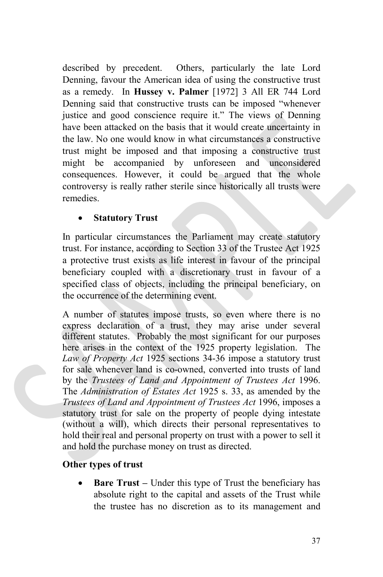described by precedent. Others, particularly the late Lord Denning, favour the American idea of using the constructive trust as a remedy. In **Hussey v. Palmer** [1972] 3 All ER 744 Lord Denning said that constructive trusts can be imposed "whenever justice and good conscience require it." The views of Denning have been attacked on the basis that it would create uncertainty in the law. No one would know in what circumstances a constructive trust might be imposed and that imposing a constructive trust might be accompanied by unforeseen and unconsidered consequences. However, it could be argued that the whole controversy is really rather sterile since historically all trusts were remedies.

#### • **Statutory Trust**

In particular circumstances the Parliament may create statutory trust. For instance, according to Section 33 of the Trustee Act 1925 a protective trust exists as life interest in favour of the principal beneficiary coupled with a discretionary trust in favour of a specified class of objects, including the principal beneficiary, on the occurrence of the determining event.

A number of statutes impose trusts, so even where there is no express declaration of a trust, they may arise under several different statutes. Probably the most significant for our purposes here arises in the context of the 1925 property legislation. The *Law of Property Act* 1925 sections 34-36 impose a statutory trust for sale whenever land is co-owned, converted into trusts of land by the *Trustees of Land and Appointment of Trustees Act* 1996. The *Administration of Estates Act* 1925 s. 33, as amended by the *Trustees of Land and Appointment of Trustees Act* 1996, imposes a statutory trust for sale on the property of people dying intestate (without a will), which directs their personal representatives to hold their real and personal property on trust with a power to sell it and hold the purchase money on trust as directed.

#### **Other types of trust**

• **Bare Trust –** Under this type of Trust the beneficiary has absolute right to the capital and assets of the Trust while the trustee has no discretion as to its management and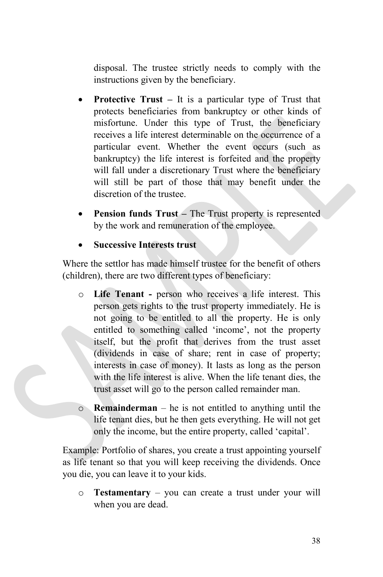disposal. The trustee strictly needs to comply with the instructions given by the beneficiary.

- **Protective Trust –** It is a particular type of Trust that protects beneficiaries from bankruptcy or other kinds of misfortune. Under this type of Trust, the beneficiary receives a life interest determinable on the occurrence of a particular event. Whether the event occurs (such as bankruptcy) the life interest is forfeited and the property will fall under a discretionary Trust where the beneficiary will still be part of those that may benefit under the discretion of the trustee.
- **Pension funds Trust –** The Trust property is represented by the work and remuneration of the employee.

• **Successive Interests trust**

Where the settlor has made himself trustee for the benefit of others (children), there are two different types of beneficiary:

- o **Life Tenant -** person who receives a life interest. This person gets rights to the trust property immediately. He is not going to be entitled to all the property. He is only entitled to something called 'income', not the property itself, but the profit that derives from the trust asset (dividends in case of share; rent in case of property; interests in case of money). It lasts as long as the person with the life interest is alive. When the life tenant dies, the trust asset will go to the person called remainder man.
- o **Remainderman** he is not entitled to anything until the life tenant dies, but he then gets everything. He will not get only the income, but the entire property, called 'capital'.

Example: Portfolio of shares, you create a trust appointing yourself as life tenant so that you will keep receiving the dividends. Once you die, you can leave it to your kids.

o **Testamentary** – you can create a trust under your will when you are dead.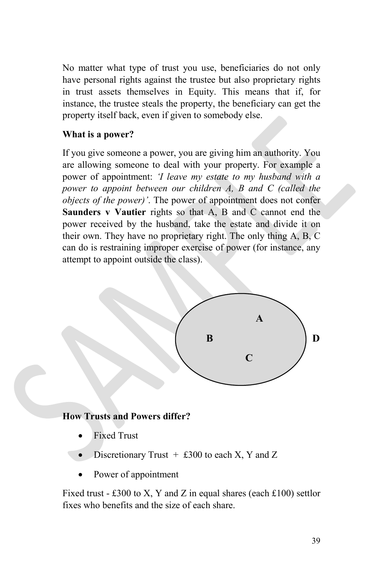No matter what type of trust you use, beneficiaries do not only have personal rights against the trustee but also proprietary rights in trust assets themselves in Equity. This means that if, for instance, the trustee steals the property, the beneficiary can get the property itself back, even if given to somebody else.

#### **What is a power?**

If you give someone a power, you are giving him an authority. You are allowing someone to deal with your property. For example a power of appointment: *'I leave my estate to my husband with a power to appoint between our children A, B and C (called the objects of the power)'*. The power of appointment does not confer **Saunders v Vautier** rights so that A, B and C cannot end the power received by the husband, take the estate and divide it on their own. They have no proprietary right. The only thing A, B, C can do is restraining improper exercise of power (for instance, any attempt to appoint outside the class).



#### **How Trusts and Powers differ?**

- **Fixed Trust**
- Discretionary Trust  $+$  £300 to each X, Y and Z
- Power of appointment

Fixed trust - £300 to X, Y and Z in equal shares (each £100) settlor fixes who benefits and the size of each share.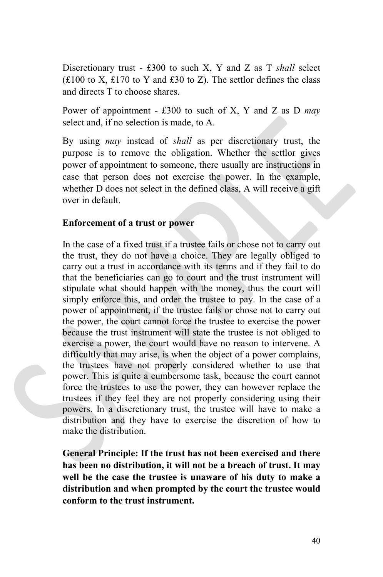Discretionary trust - £300 to such X, Y and Z as T *shall* select  $(£100$  to X, £170 to Y and £30 to Z). The settlor defines the class and directs T to choose shares.

Power of appointment - £300 to such of X, Y and Z as D *may* select and, if no selection is made, to A.

By using *may* instead of *shall* as per discretionary trust, the purpose is to remove the obligation. Whether the settlor gives power of appointment to someone, there usually are instructions in case that person does not exercise the power. In the example, whether D does not select in the defined class, A will receive a gift over in default.

#### **Enforcement of a trust or power**

In the case of a fixed trust if a trustee fails or chose not to carry out the trust, they do not have a choice. They are legally obliged to carry out a trust in accordance with its terms and if they fail to do that the beneficiaries can go to court and the trust instrument will stipulate what should happen with the money, thus the court will simply enforce this, and order the trustee to pay. In the case of a power of appointment, if the trustee fails or chose not to carry out the power, the court cannot force the trustee to exercise the power because the trust instrument will state the trustee is not obliged to exercise a power, the court would have no reason to intervene. A difficultly that may arise, is when the object of a power complains, the trustees have not properly considered whether to use that power. This is quite a cumbersome task, because the court cannot force the trustees to use the power, they can however replace the trustees if they feel they are not properly considering using their powers. In a discretionary trust, the trustee will have to make a distribution and they have to exercise the discretion of how to make the distribution.

**General Principle: If the trust has not been exercised and there has been no distribution, it will not be a breach of trust. It may well be the case the trustee is unaware of his duty to make a distribution and when prompted by the court the trustee would conform to the trust instrument.**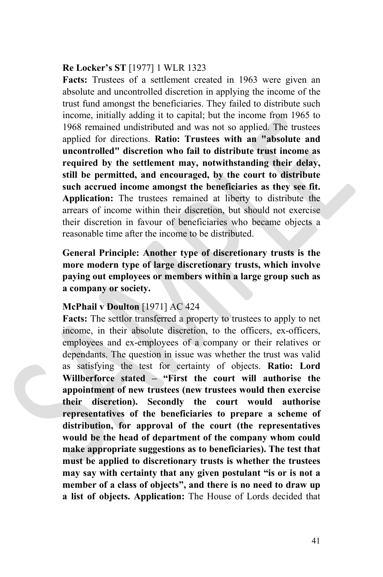#### **Re Locker's ST** [1977] 1 WLR 1323

**Facts:** Trustees of a settlement created in 1963 were given an absolute and uncontrolled discretion in applying the income of the trust fund amongst the beneficiaries. They failed to distribute such income, initially adding it to capital; but the income from 1965 to 1968 remained undistributed and was not so applied. The trustees applied for directions. **Ratio: Trustees with an "absolute and uncontrolled" discretion who fail to distribute trust income as required by the settlement may, notwithstanding their delay, still be permitted, and encouraged, by the court to distribute such accrued income amongst the beneficiaries as they see fit. Application:** The trustees remained at liberty to distribute the arrears of income within their discretion, but should not exercise their discretion in favour of beneficiaries who became objects a reasonable time after the income to be distributed.

**General Principle: Another type of discretionary trusts is the more modern type of large discretionary trusts, which involve paying out employees or members within a large group such as a company or society.**

#### **McPhail v Doulton** [1971] AC 424

**Facts:** The settlor transferred a property to trustees to apply to net income, in their absolute discretion, to the officers, ex-officers, employees and ex-employees of a company or their relatives or dependants. The question in issue was whether the trust was valid as satisfying the test for certainty of objects. **Ratio: Lord Willberforce stated – "First the court will authorise the appointment of new trustees (new trustees would then exercise their discretion). Secondly the court would authorise representatives of the beneficiaries to prepare a scheme of distribution, for approval of the court (the representatives would be the head of department of the company whom could make appropriate suggestions as to beneficiaries). The test that must be applied to discretionary trusts is whether the trustees may say with certainty that any given postulant "is or is not a member of a class of objects", and there is no need to draw up a list of objects. Application:** The House of Lords decided that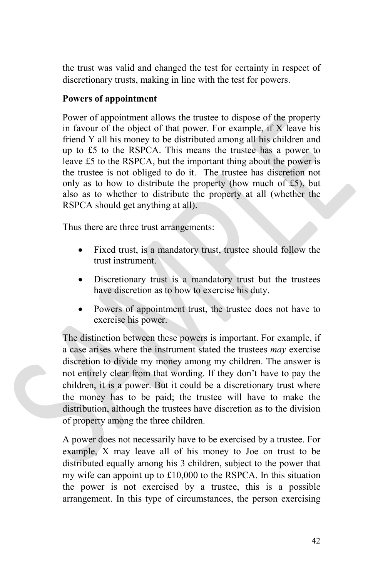the trust was valid and changed the test for certainty in respect of discretionary trusts, making in line with the test for powers.

#### **Powers of appointment**

Power of appointment allows the trustee to dispose of the property in favour of the object of that power. For example, if X leave his friend Y all his money to be distributed among all his children and up to £5 to the RSPCA. This means the trustee has a power to leave £5 to the RSPCA, but the important thing about the power is the trustee is not obliged to do it. The trustee has discretion not only as to how to distribute the property (how much of  $£5$ ), but also as to whether to distribute the property at all (whether the RSPCA should get anything at all).

Thus there are three trust arrangements:

- Fixed trust, is a mandatory trust, trustee should follow the trust instrument.
- Discretionary trust is a mandatory trust but the trustees have discretion as to how to exercise his duty.
- Powers of appointment trust, the trustee does not have to exercise his power.

The distinction between these powers is important. For example, if a case arises where the instrument stated the trustees *may* exercise discretion to divide my money among my children. The answer is not entirely clear from that wording. If they don't have to pay the children, it is a power. But it could be a discretionary trust where the money has to be paid; the trustee will have to make the distribution, although the trustees have discretion as to the division of property among the three children.

A power does not necessarily have to be exercised by a trustee. For example, X may leave all of his money to Joe on trust to be distributed equally among his 3 children, subject to the power that my wife can appoint up to £10,000 to the RSPCA. In this situation the power is not exercised by a trustee, this is a possible arrangement. In this type of circumstances, the person exercising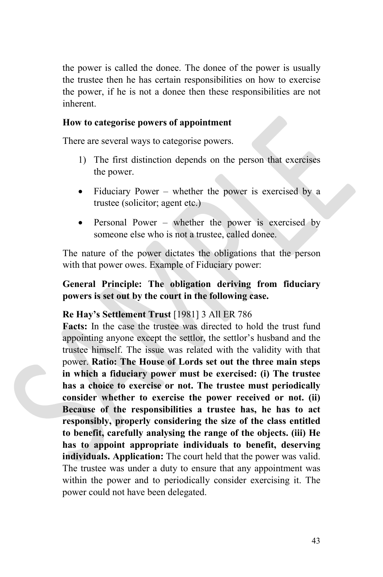the power is called the donee. The donee of the power is usually the trustee then he has certain responsibilities on how to exercise the power, if he is not a donee then these responsibilities are not inherent.

#### **How to categorise powers of appointment**

There are several ways to categorise powers.

- 1) The first distinction depends on the person that exercises the power.
- Fiduciary Power whether the power is exercised by a trustee (solicitor; agent etc.)
- Personal Power whether the power is exercised by someone else who is not a trustee, called donee.

The nature of the power dictates the obligations that the person with that power owes. Example of Fiduciary power:

#### **General Principle: The obligation deriving from fiduciary powers is set out by the court in the following case.**

#### **Re Hay's Settlement Trust** [1981] 3 All ER 786

**Facts:** In the case the trustee was directed to hold the trust fund appointing anyone except the settlor, the settlor's husband and the trustee himself. The issue was related with the validity with that power. **Ratio: The House of Lords set out the three main steps in which a fiduciary power must be exercised: (i) The trustee has a choice to exercise or not. The trustee must periodically consider whether to exercise the power received or not. (ii) Because of the responsibilities a trustee has, he has to act responsibly, properly considering the size of the class entitled to benefit, carefully analysing the range of the objects. (iii) He has to appoint appropriate individuals to benefit, deserving individuals. Application:** The court held that the power was valid. The trustee was under a duty to ensure that any appointment was within the power and to periodically consider exercising it. The power could not have been delegated.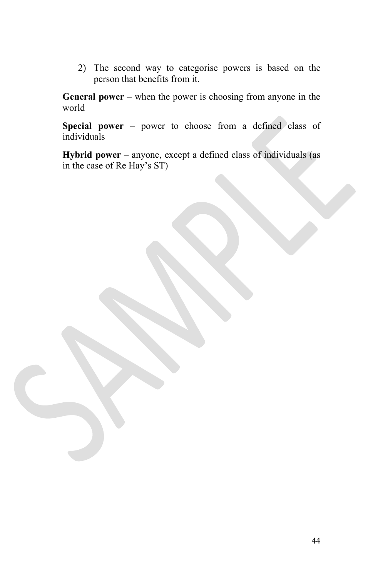2) The second way to categorise powers is based on the person that benefits from it.

**General power** – when the power is choosing from anyone in the world

**Special power** – power to choose from a defined class of individuals

**Hybrid power** – anyone, except a defined class of individuals (as in the case of Re Hay's ST)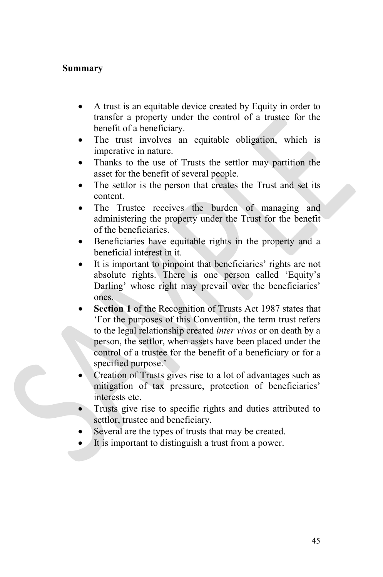#### **Summary**

- A trust is an equitable device created by Equity in order to transfer a property under the control of a trustee for the benefit of a beneficiary.
- The trust involves an equitable obligation, which is imperative in nature.
- Thanks to the use of Trusts the settlor may partition the asset for the benefit of several people.
- The settlor is the person that creates the Trust and set its content.
- The Trustee receives the burden of managing and administering the property under the Trust for the benefit of the beneficiaries.
- Beneficiaries have equitable rights in the property and a beneficial interest in it.
- It is important to pinpoint that beneficiaries' rights are not absolute rights. There is one person called 'Equity's Darling' whose right may prevail over the beneficiaries' ones.
- **Section 1** of the Recognition of Trusts Act 1987 states that 'For the purposes of this Convention, the term trust refers to the legal relationship created *inter vivos* or on death by a person, the settlor, when assets have been placed under the control of a trustee for the benefit of a beneficiary or for a specified purpose.'
- Creation of Trusts gives rise to a lot of advantages such as mitigation of tax pressure, protection of beneficiaries' interests etc.
- Trusts give rise to specific rights and duties attributed to settlor, trustee and beneficiary.
- Several are the types of trusts that may be created.
- It is important to distinguish a trust from a power.